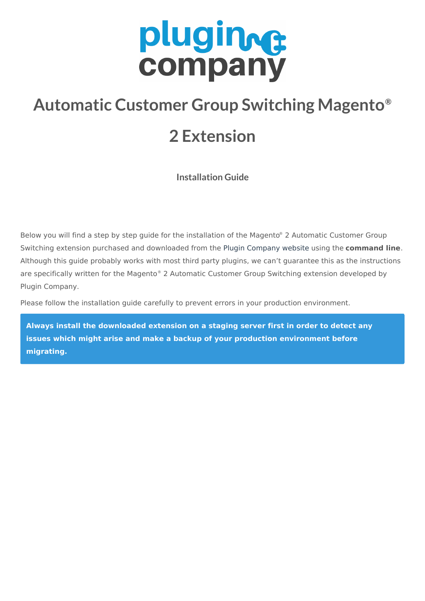# plugines company

# **Automatic Customer Group Switching Magento ®**

## **2 Extension**

**Installation Guide**

Below you will find a step by step guide for the installation of the Magento ® 2 Automatic Customer Group Switching extension purchased and downloaded from the Plugin [Company](https://plugin.company) website using the **command line**. Although this guide probably works with most third party plugins, we can't guarantee this as the instructions are specifically written for the Magento® 2 Automatic Customer Group Switching extension developed by Plugin Company.

Please follow the installation guide carefully to prevent errors in your production environment.

**Always install the downloaded extension on a staging server first in order to detect any issues which might arise and make a backup of your production environment before migrating.**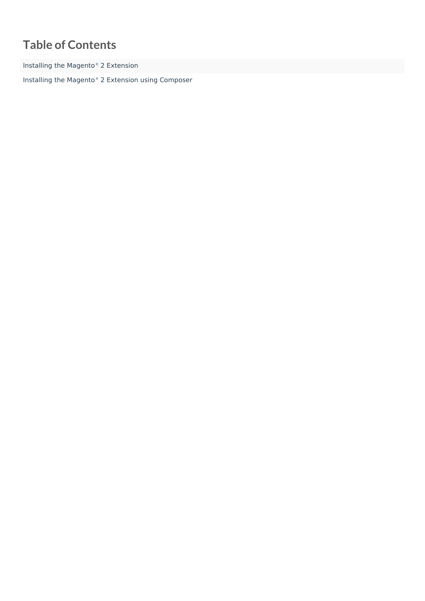## **Table of Contents**

Installing the Magento ® 2 [Extension](#page-2-0)

Installing the Magento ® 2 Extension using [Composer](#page-4-0)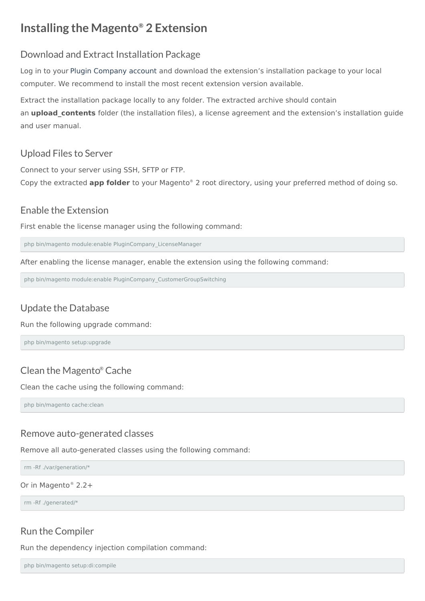## <span id="page-2-0"></span>**Installing the Magento ® 2 Extension**

#### Download and Extract Installation Package

Log in to your Plugin [Company](https://plugin.company/downloads/index/list/) account and download the extension's installation package to your local computer. We recommend to install the most recent extension version available.

Extract the installation package locally to any folder. The extracted archive should contain an **upload contents** folder (the installation files), a license agreement and the extension's installation guide and user manual.

#### Upload Files to Server

Connect to your server using SSH, SFTP or FTP. Copy the extracted **app folder** to your Magento ® 2 root directory, using your preferred method of doing so.

#### Enable the Extension

First enable the license manager using the following command:

php bin/magento module:enable PluginCompany\_LicenseManager

After enabling the license manager, enable the extension using the following command:

php bin/magento module:enable PluginCompany\_CustomerGroupSwitching

## Update the Database

#### Run the following upgrade command:

php bin/magento setup:upgrade

## Clean the Magento ® Cache

Clean the cache using the following command:

php bin/magento cache:clean

#### Remove auto-generated classes

Remove all auto-generated classes using the following command:

rm -Rf ./var/generation/\*

Or in Magento ® 2.2+

rm -Rf ./generated/\*

## Run the Compiler

Run the dependency injection compilation command:

php bin/magento setup:di:compile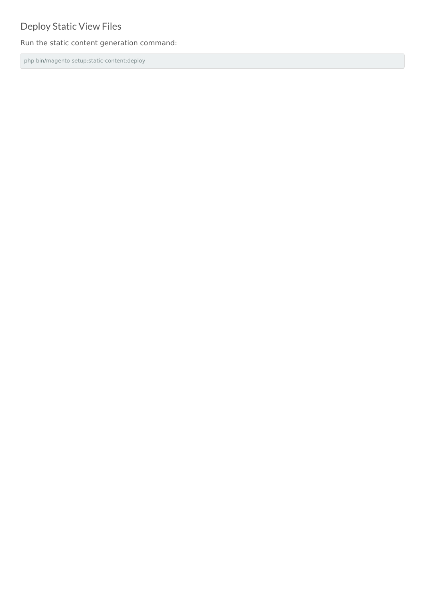## Deploy Static View Files

Run the static content generation command:

php bin/magento setup:static-content:deploy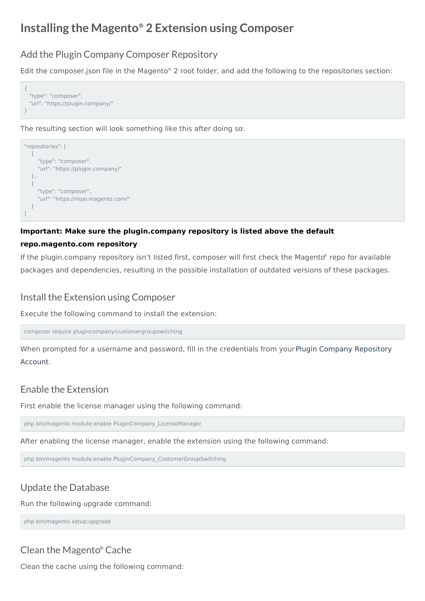## <span id="page-4-0"></span>**Installing the Magento ® 2 Extension using Composer**

#### Add the Plugin Company Composer Repository

Edit the composer.json file in the Magento<sup>®</sup> 2 root folder, and add the following to the repositories section:



The resulting section will look something like this after doing so:



#### **Important: Make sure the plugin.company repository is listed above the default**

#### **repo.magento.com repository**

If the plugin.company repository isn't listed first, composer will first check the Magento ® repo for available packages and dependencies, resulting in the possible installation of outdated versions of these packages.

#### Install the Extension using Composer

Execute the following command to install the extension:

composer require plugincompany/customergroupswitching

When prompted for a username and password, fill in the [credentials](https://plugin.company/knowledge-base/docs/magento2-extensions/installation-guide/composer-repository/) from your Plugin Company Repository Account.

#### Enable the Extension

First enable the license manager using the following command:

php bin/magento module:enable PluginCompany\_LicenseManager

After enabling the license manager, enable the extension using the following command:

php bin/magento module:enable PluginCompany\_CustomerGroupSwitching

#### Update the Database

Run the following upgrade command:

php bin/magento setup:upgrade

#### Clean the Magento ® Cache

Clean the cache using the following command: